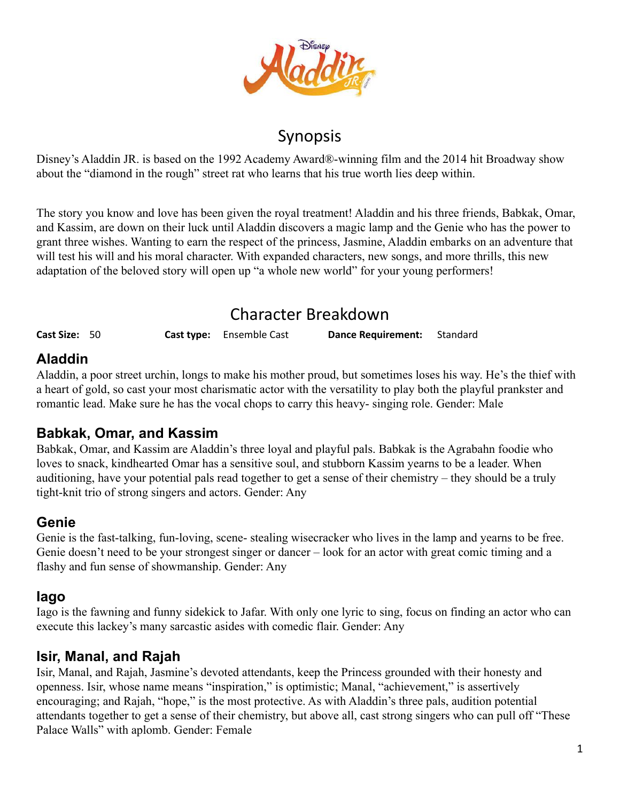

## Synopsis

Disney's Aladdin JR. is based on the 1992 Academy Award®-winning film and the 2014 hit Broadway show about the "diamond in the rough" street rat who learns that his true worth lies deep within.

The story you know and love has been given the royal treatment! Aladdin and his three friends, Babkak, Omar, and Kassim, are down on their luck until Aladdin discovers a magic lamp and the Genie who has the power to grant three wishes. Wanting to earn the respect of the princess, Jasmine, Aladdin embarks on an adventure that will test his will and his moral character. With expanded characters, new songs, and more thrills, this new adaptation of the beloved story will open up "a whole new world" for your young performers!

# Character Breakdown

**Cast Size:** 50 **Cast type:** Ensemble Cast **Dance Requirement:** Standard

## **Aladdin**

Aladdin, a poor street urchin, longs to make his mother proud, but sometimes loses his way. He's the thief with a heart of gold, so cast your most charismatic actor with the versatility to play both the playful prankster and romantic lead. Make sure he has the vocal chops to carry this heavy- singing role. Gender: Male

### **Babkak, Omar, and Kassim**

Babkak, Omar, and Kassim are Aladdin's three loyal and playful pals. Babkak is the Agrabahn foodie who loves to snack, kindhearted Omar has a sensitive soul, and stubborn Kassim yearns to be a leader. When auditioning, have your potential pals read together to get a sense of their chemistry – they should be a truly tight-knit trio of strong singers and actors. Gender: Any

### **Genie**

Genie is the fast-talking, fun-loving, scene- stealing wisecracker who lives in the lamp and yearns to be free. Genie doesn't need to be your strongest singer or dancer – look for an actor with great comic timing and a flashy and fun sense of showmanship. Gender: Any

### **Iago**

Iago is the fawning and funny sidekick to Jafar. With only one lyric to sing, focus on finding an actor who can execute this lackey's many sarcastic asides with comedic flair. Gender: Any

### **Isir, Manal, and Rajah**

Isir, Manal, and Rajah, Jasmine's devoted attendants, keep the Princess grounded with their honesty and openness. Isir, whose name means "inspiration," is optimistic; Manal, "achievement," is assertively encouraging; and Rajah, "hope," is the most protective. As with Aladdin's three pals, audition potential attendants together to get a sense of their chemistry, but above all, cast strong singers who can pull off "These Palace Walls" with aplomb. Gender: Female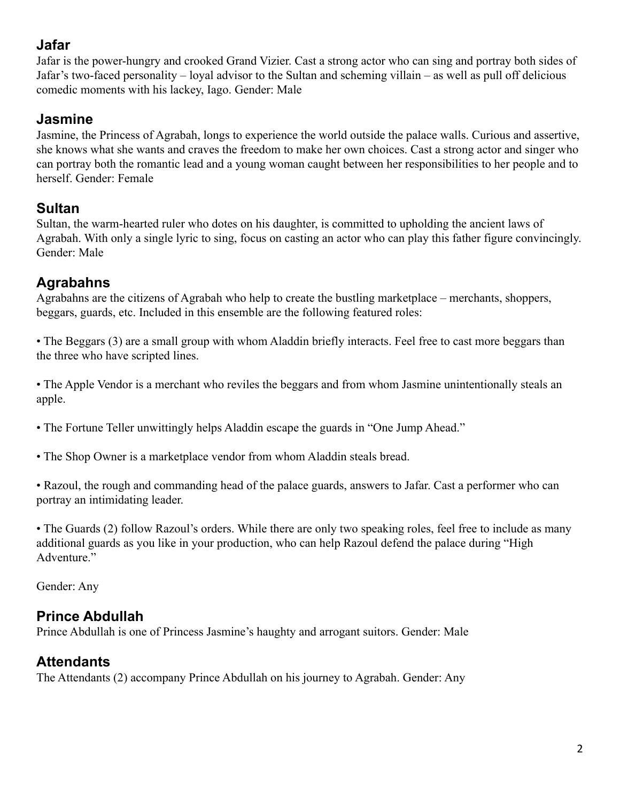### **Jafar**

Jafar is the power-hungry and crooked Grand Vizier. Cast a strong actor who can sing and portray both sides of Jafar's two-faced personality – loyal advisor to the Sultan and scheming villain – as well as pull off delicious comedic moments with his lackey, Iago. Gender: Male

### **Jasmine**

Jasmine, the Princess of Agrabah, longs to experience the world outside the palace walls. Curious and assertive, she knows what she wants and craves the freedom to make her own choices. Cast a strong actor and singer who can portray both the romantic lead and a young woman caught between her responsibilities to her people and to herself. Gender: Female

### **Sultan**

Sultan, the warm-hearted ruler who dotes on his daughter, is committed to upholding the ancient laws of Agrabah. With only a single lyric to sing, focus on casting an actor who can play this father figure convincingly. Gender: Male

### **Agrabahns**

Agrabahns are the citizens of Agrabah who help to create the bustling marketplace – merchants, shoppers, beggars, guards, etc. Included in this ensemble are the following featured roles:

• The Beggars (3) are a small group with whom Aladdin briefly interacts. Feel free to cast more beggars than the three who have scripted lines.

• The Apple Vendor is a merchant who reviles the beggars and from whom Jasmine unintentionally steals an apple.

• The Fortune Teller unwittingly helps Aladdin escape the guards in "One Jump Ahead."

• The Shop Owner is a marketplace vendor from whom Aladdin steals bread.

• Razoul, the rough and commanding head of the palace guards, answers to Jafar. Cast a performer who can portray an intimidating leader.

• The Guards (2) follow Razoul's orders. While there are only two speaking roles, feel free to include as many additional guards as you like in your production, who can help Razoul defend the palace during "High Adventure."

Gender: Any

### **Prince Abdullah**

Prince Abdullah is one of Princess Jasmine's haughty and arrogant suitors. Gender: Male

### **Attendants**

The Attendants (2) accompany Prince Abdullah on his journey to Agrabah. Gender: Any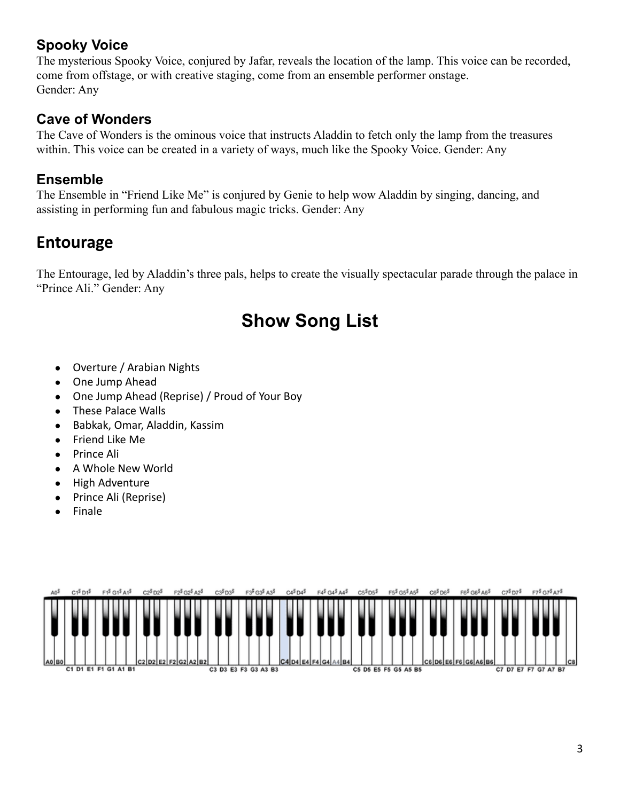### **Spooky Voice**

The mysterious Spooky Voice, conjured by Jafar, reveals the location of the lamp. This voice can be recorded, come from offstage, or with creative staging, come from an ensemble performer onstage. Gender: Any

#### **Cave of Wonders**

The Cave of Wonders is the ominous voice that instructs Aladdin to fetch only the lamp from the treasures within. This voice can be created in a variety of ways, much like the Spooky Voice. Gender: Any

### **Ensemble**

The Ensemble in "Friend Like Me" is conjured by Genie to help wow Aladdin by singing, dancing, and assisting in performing fun and fabulous magic tricks. Gender: Any

## **Entourage**

The Entourage, led by Aladdin's three pals, helps to create the visually spectacular parade through the palace in "Prince Ali." Gender: Any

# **Show Song List**

- Overture / Arabian Nights
- One Jump Ahead
- One Jump Ahead (Reprise) / Proud of Your Boy
- These Palace Walls
- Babkak, Omar, Aladdin, Kassim
- Friend Like Me
- Prince Ali
- A Whole New World
- High Adventure
- Prince Ali (Reprise)
- Finale

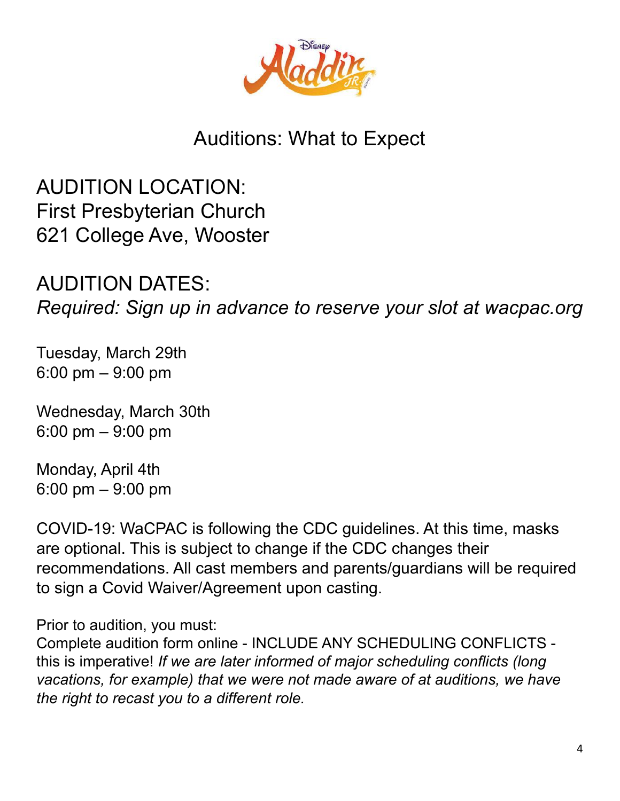

# Auditions: What to Expect

AUDITION LOCATION: First Presbyterian Church 621 College Ave, Wooster

AUDITION DATES: *Required: Sign up in advance to reserve your slot at wacpac.org*

Tuesday, March 29th 6:00 pm – 9:00 pm

Wednesday, March 30th 6:00 pm – 9:00 pm

Monday, April 4th 6:00 pm – 9:00 pm

COVID-19: WaCPAC is following the CDC guidelines. At this time, masks are optional. This is subject to change if the CDC changes their recommendations. All cast members and parents/guardians will be required to sign a Covid Waiver/Agreement upon casting.

Prior to audition, you must:

Complete audition form online - INCLUDE ANY SCHEDULING CONFLICTS this is imperative! *If we are later informed of major scheduling conflicts (long vacations, for example) that we were not made aware of at auditions, we have the right to recast you to a different role.*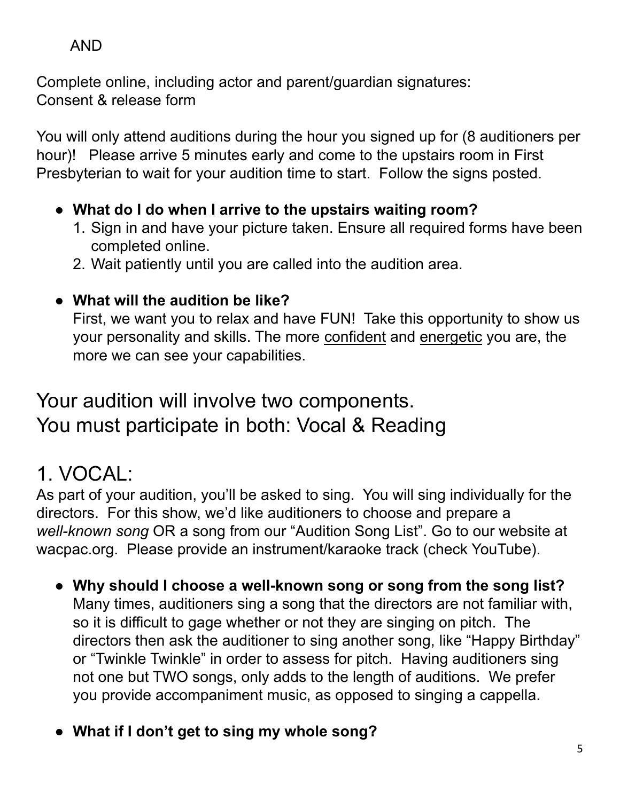## AND

Complete online, including actor and parent/guardian signatures: Consent & release form

You will only attend auditions during the hour you signed up for (8 auditioners per hour)! Please arrive 5 minutes early and come to the upstairs room in First Presbyterian to wait for your audition time to start. Follow the signs posted.

- **● What do I do when I arrive to the upstairs waiting room?**
	- 1. Sign in and have your picture taken. Ensure all required forms have been completed online.
	- 2. Wait patiently until you are called into the audition area.

# **● What will the audition be like?**

First, we want you to relax and have FUN! Take this opportunity to show us your personality and skills. The more confident and energetic you are, the more we can see your capabilities.

# Your audition will involve two components. You must participate in both: Vocal & Reading

# 1. VOCAL:

As part of your audition, you'll be asked to sing. You will sing individually for the directors. For this show, we'd like auditioners to choose and prepare a *well-known song* OR a song from our "Audition Song List". Go to our website at wacpac.org. Please provide an instrument/karaoke track (check YouTube).

- **● Why should I choose a well-known song or song from the song list?** Many times, auditioners sing a song that the directors are not familiar with, so it is difficult to gage whether or not they are singing on pitch. The directors then ask the auditioner to sing another song, like "Happy Birthday" or "Twinkle Twinkle" in order to assess for pitch. Having auditioners sing not one but TWO songs, only adds to the length of auditions. We prefer you provide accompaniment music, as opposed to singing a cappella.
- **● What if I don't get to sing my whole song?**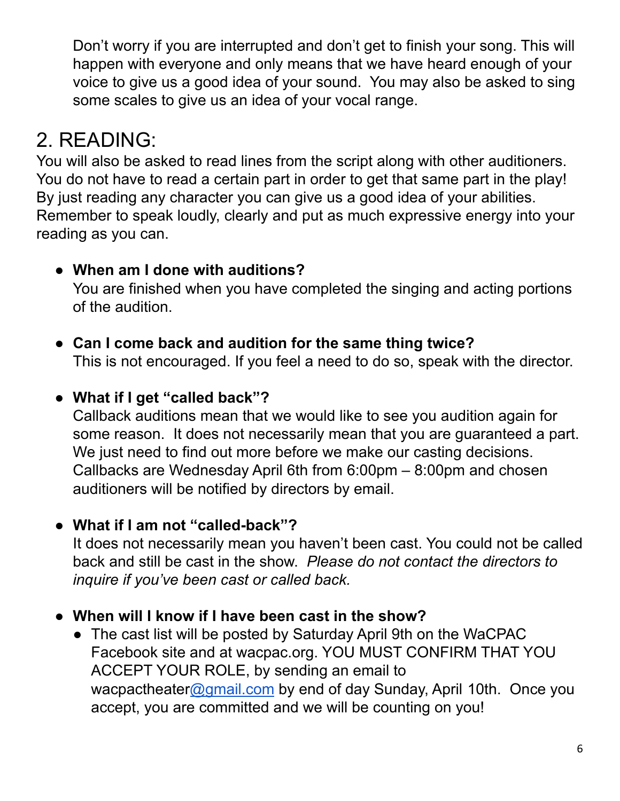Don't worry if you are interrupted and don't get to finish your song. This will happen with everyone and only means that we have heard enough of your voice to give us a good idea of your sound. You may also be asked to sing some scales to give us an idea of your vocal range.

# 2. READING:

You will also be asked to read lines from the script along with other auditioners. You do not have to read a certain part in order to get that same part in the play! By just reading any character you can give us a good idea of your abilities. Remember to speak loudly, clearly and put as much expressive energy into your reading as you can.

## **● When am I done with auditions?**

You are finished when you have completed the singing and acting portions of the audition.

**● Can I come back and audition for the same thing twice?**

This is not encouraged. If you feel a need to do so, speak with the director.

## **● What if I get "called back"?**

Callback auditions mean that we would like to see you audition again for some reason. It does not necessarily mean that you are guaranteed a part. We just need to find out more before we make our casting decisions. Callbacks are Wednesday April 6th from 6:00pm – 8:00pm and chosen auditioners will be notified by directors by email.

## **● What if I am not "called-back"?**

It does not necessarily mean you haven't been cast. You could not be called back and still be cast in the show. *Please do not contact the directors to inquire if you've been cast or called back.*

### **● When will I know if I have been cast in the show?**

**●** The cast list will be posted by Saturday April 9th on the WaCPAC Facebook site and at wacpac.org. YOU MUST CONFIRM THAT YOU ACCEPT YOUR ROLE, by sending an email to wacpactheater[@gmail.com](mailto:jenettekarger@gmail.com) by end of day Sunday, April 10th. Once you accept, you are committed and we will be counting on you!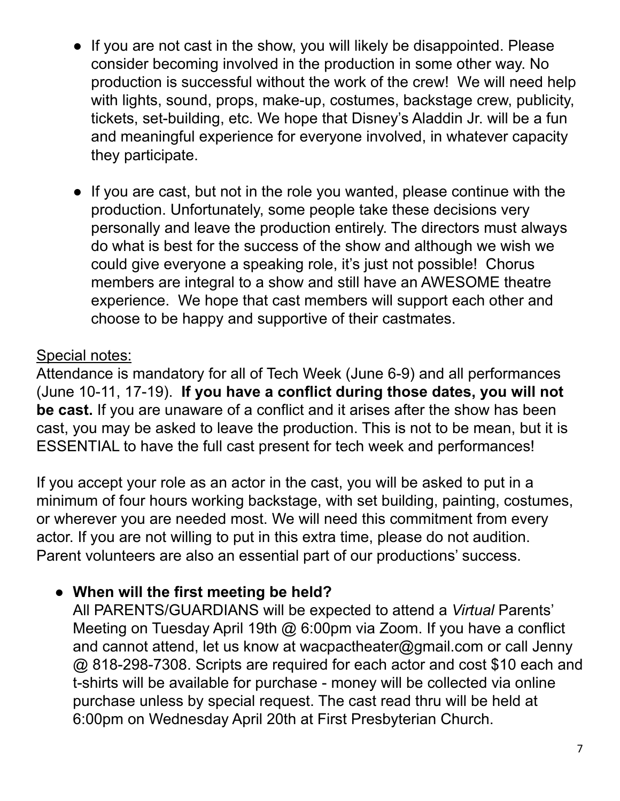- **●** If you are not cast in the show, you will likely be disappointed. Please consider becoming involved in the production in some other way. No production is successful without the work of the crew! We will need help with lights, sound, props, make-up, costumes, backstage crew, publicity, tickets, set-building, etc. We hope that Disney's Aladdin Jr. will be a fun and meaningful experience for everyone involved, in whatever capacity they participate.
- **●** If you are cast, but not in the role you wanted, please continue with the production. Unfortunately, some people take these decisions very personally and leave the production entirely. The directors must always do what is best for the success of the show and although we wish we could give everyone a speaking role, it's just not possible! Chorus members are integral to a show and still have an AWESOME theatre experience. We hope that cast members will support each other and choose to be happy and supportive of their castmates.

## Special notes:

Attendance is mandatory for all of Tech Week (June 6-9) and all performances (June 10-11, 17-19). **If you have a conflict during those dates, you will not be cast.** If you are unaware of a conflict and it arises after the show has been cast, you may be asked to leave the production. This is not to be mean, but it is ESSENTIAL to have the full cast present for tech week and performances!

If you accept your role as an actor in the cast, you will be asked to put in a minimum of four hours working backstage, with set building, painting, costumes, or wherever you are needed most. We will need this commitment from every actor. If you are not willing to put in this extra time, please do not audition. Parent volunteers are also an essential part of our productions' success.

## **● When will the first meeting be held?**

All PARENTS/GUARDIANS will be expected to attend a *Virtual* Parents' Meeting on Tuesday April 19th @ 6:00pm via Zoom. If you have a conflict and cannot attend, let us know at wacpactheater@gmail.com or call Jenny @ 818-298-7308. Scripts are required for each actor and cost \$10 each and t-shirts will be available for purchase - money will be collected via online purchase unless by special request. The cast read thru will be held at 6:00pm on Wednesday April 20th at First Presbyterian Church.